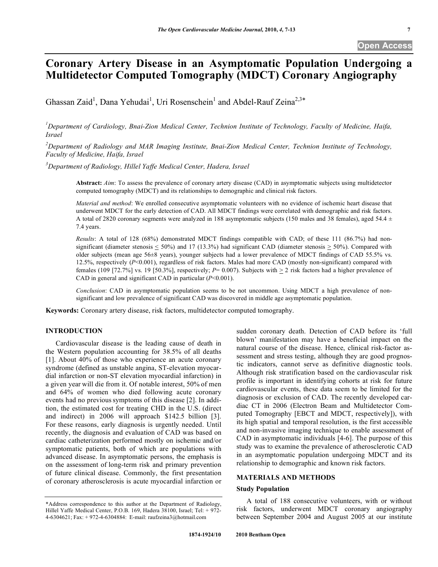# **Coronary Artery Disease in an Asymptomatic Population Undergoing a Multidetector Computed Tomography (MDCT) Coronary Angiography**

Ghassan Zaid<sup>1</sup>, Dana Yehudai<sup>1</sup>, Uri Rosenschein<sup>1</sup> and Abdel-Rauf Zeina<sup>2,3\*</sup>

<sup>1</sup> Department of Cardiology, Bnai-Zion Medical Center, Technion Institute of Technology, Faculty of Medicine, Haifa, *Israel*

*2 Department of Radiology and MAR Imaging Institute, Bnai-Zion Medical Center, Technion Institute of Technology, Faculty of Medicine, Haifa, Israel*

*3 Department of Radiology, Hillel Yaffe Medical Center, Hadera, Israel*

**Abstract:** *Aim*: To assess the prevalence of coronary artery disease (CAD) in asymptomatic subjects using multidetector computed tomography (MDCT) and its relationships to demographic and clinical risk factors.

*Material and method*: We enrolled consecutive asymptomatic volunteers with no evidence of ischemic heart disease that underwent MDCT for the early detection of CAD. All MDCT findings were correlated with demographic and risk factors. A total of 2820 coronary segments were analyzed in 188 asymptomatic subjects (150 males and 38 females), aged 54.4  $\pm$ 7.4 years.

*Results*: A total of 128 (68%) demonstrated MDCT findings compatible with CAD; of these 111 (86.7%) had nonsignificant (diameter stenosis  $\leq 50\%$ ) and 17 (13.3%) had significant CAD (diameter stenosis  $\geq 50\%$ ). Compared with older subjects (mean age 56±8 years), younger subjects had a lower prevalence of MDCT findings of CAD 55.5% vs. 12.5%, respectively (*P*<0.001), regardless of risk factors. Males had more CAD (mostly non-significant) compared with females (109 [72.7%] vs. 19 [50.3%], respectively;  $P= 0.007$ ). Subjects with  $\geq 2$  risk factors had a higher prevalence of CAD in general and significant CAD in particular (*P*<0.001).

*Conclusion*: CAD in asymptomatic population seems to be not uncommon. Using MDCT a high prevalence of nonsignificant and low prevalence of significant CAD was discovered in middle age asymptomatic population.

**Keywords:** Coronary artery disease, risk factors, multidetector computed tomography.

## **INTRODUCTION**

Cardiovascular disease is the leading cause of death in the Western population accounting for 38.5% of all deaths [1]. About 40% of those who experience an acute coronary syndrome (defined as unstable angina, ST-elevation myocardial infarction or non-ST elevation myocardial infarction) in a given year will die from it. Of notable interest, 50% of men and 64% of women who died following acute coronary events had no previous symptoms of this disease [2]. In addition, the estimated cost for treating CHD in the U.S. (direct and indirect) in 2006 will approach \$142.5 billion [3]. For these reasons, early diagnosis is urgently needed. Until recently, the diagnosis and evaluation of CAD was based on cardiac catheterization performed mostly on ischemic and/or symptomatic patients, both of which are populations with advanced disease. In asymptomatic persons, the emphasis is on the assessment of long-term risk and primary prevention of future clinical disease. Commonly, the first presentation of coronary atherosclerosis is acute myocardial infarction or

sudden coronary death. Detection of CAD before its 'full blown' manifestation may have a beneficial impact on the natural course of the disease. Hence, clinical risk-factor assessment and stress testing, although they are good prognostic indicators, cannot serve as definitive diagnostic tools. Although risk stratification based on the cardiovascular risk profile is important in identifying cohorts at risk for future cardiovascular events, these data seem to be limited for the diagnosis or exclusion of CAD. The recently developed cardiac CT in 2006 (Electron Beam and Multidetector Computed Tomography [EBCT and MDCT, respectively]), with its high spatial and temporal resolution, is the first accessible and non-invasive imaging technique to enable assessment of CAD in asymptomatic individuals [4-6]. The purpose of this study was to examine the prevalence of atherosclerotic CAD in an asymptomatic population undergoing MDCT and its relationship to demographic and known risk factors.

### **MATERIALS AND METHODS**

#### **Study Population**

A total of 188 consecutive volunteers, with or without risk factors, underwent MDCT coronary angiography between September 2004 and August 2005 at our institute

<sup>\*</sup>Address correspondence to this author at the Department of Radiology, Hillel Yaffe Medical Center, P.O.B. 169, Hadera 38100, Israel; Tel: + 972- 4-6304621; Fax: + 972-4-6304884: E-mail: raufzeina3@hotmail.com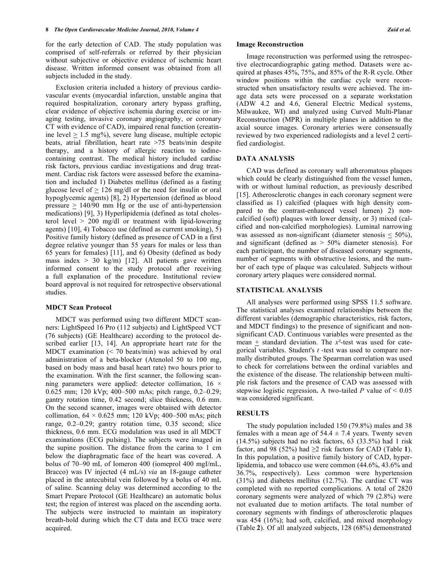for the early detection of CAD. The study population was comprised of self-referrals or referred by their physician without subjective or objective evidence of ischemic heart disease. Written informed consent was obtained from all subjects included in the study.

Exclusion criteria included a history of previous cardiovascular events (myocardial infarction, unstable angina that required hospitalization, coronary artery bypass grafting, clear evidence of objective ischemia during exercise or imaging testing, invasive coronary angiography, or coronary CT with evidence of CAD), impaired renal function (creatinine level  $\geq 1.5$  mg%), severe lung disease, multiple ectopic beats, atrial fibrillation, heart rate >75 beats/min despite therapy, and a history of allergic reaction to iodinecontaining contrast. The medical history included cardiac risk factors, previous cardiac investigations and drug treatment. Cardiac risk factors were assessed before the examination and included 1) Diabetes mellitus (defined as a fasting glucose level of  $> 126$  mg/dl or the need for insulin or oral hypoglycemic agents) [8], 2) Hypertension (defined as blood pressure  $> 140/90$  mm Hg or the use of anti-hypertension medications) [9], 3) Hyperlipidemia (defined as total cholesterol level > 200 mg/dl or treatment with lipid-lowering agents) [10], 4) Tobacco use (defined as current smoking), 5) Positive family history (defined as presence of CAD in a first degree relative younger than 55 years for males or less than 65 years for females) [11], and 6) Obesity (defined as body mass index  $> 30$  kg/m) [12]. All patients gave written informed consent to the study protocol after receiving a full explanation of the procedure. Institutional review board approval is not required for retrospective observational studies.

#### **MDCT Scan Protocol**

MDCT was performed using two different MDCT scanners: LightSpeed 16 Pro (112 subjects) and LightSpeed VCT (76 subjects) (GE Healthcare) according to the protocol described earlier [13, 14]. An appropriate heart rate for the MDCT examination (< 70 beats/min) was achieved by oral administration of a beta-blocker (Atenolol 50 to 100 mg, based on body mass and basal heart rate) two hours prior to the examination. With the first scanner, the following scanning parameters were applied: detector collimation,  $16 \times$ 0.625 mm; 120 kVp; 400–500 mAs; pitch range, 0.2–0.29; gantry rotation time, 0.42 second; slice thickness, 0.6 mm. On the second scanner, images were obtained with detector collimation,  $64 \times 0.625$  mm; 120 kVp; 400–500 mAs; pitch range, 0.2–0.29; gantry rotation time, 0.35 second; slice thickness, 0.6 mm. ECG modulation was used in all MDCT examinations (ECG pulsing). The subjects were imaged in the supine position. The distance from the carina to 1 cm below the diaphragmatic face of the heart was covered. A bolus of 70–90 mL of Iomeron 400 (iomeprol 400 mgI/mL, Bracco) was IV injected (4 mL/s) *via* an 18-gauge catheter placed in the antecubital vein followed by a bolus of 40 mL of saline. Scanning delay was determined according to the Smart Prepare Protocol (GE Healthcare) an automatic bolus test; the region of interest was placed on the ascending aorta. The subjects were instructed to maintain an inspiratory breath-hold during which the CT data and ECG trace were acquired.

#### **Image Reconstruction**

Image reconstruction was performed using the retrospective electrocardiographic gating method. Datasets were acquired at phases 45%, 75%, and 85% of the R-R cycle. Other window positions within the cardiac cycle were reconstructed when unsatisfactory results were achieved. The image data sets were processed on a separate workstation (ADW 4.2 and 4.6, General Electric Medical systems, Milwaukee, WI) and analyzed using Curved Multi-Planar Reconstruction (MPR) in multiple planes in addition to the axial source images. Coronary arteries were consensually reviewed by two experienced radiologists and a level 2 certified cardiologist.

#### **DATA ANALYSIS**

CAD was defined as coronary wall atheromatous plaques which could be clearly distinguished from the vessel lumen, with or without luminal reduction, as previously described [15]. Atherosclerotic changes in each coronary segment were classified as 1) calcified (plaques with high density compared to the contrast-enhanced vessel lumen) 2) noncalcified (soft) plaques with lower density, or 3) mixed (calcified and non-calcified morphologies). Luminal narrowing was assessed as non-significant (diameter stenosis  $\leq 50\%$ ), and significant (defined as > 50% diameter stenosis). For each participant, the number of diseased coronary segments, number of segments with obstructive lesions, and the number of each type of plaque was calculated. Subjects without coronary artery plaques were considered normal.

#### **STATISTICAL ANALYSIS**

All analyses were performed using SPSS 11.5 software. The statistical analyses examined relationships between the different variables (demographic characteristics, risk factors, and MDCT findings) to the presence of significant and nonsignificant CAD. Continuous variables were presented as the mean  $\pm$  standard deviation. The  $x^2$ -test was used for categorical variables. Student's *t* -test was used to compare normally distributed groups. The Spearman correlation was used to check for correlations between the ordinal variables and the existence of the disease. The relationship between multiple risk factors and the presence of CAD was assessed with stepwise logistic regression. A two-tailed *P* value of  $\leq 0.05$ was considered significant.

## **RESULTS**

The study population included 150 (79.8%) males and 38 females with a mean age of  $54.4 \pm 7.4$  years. Twenty seven (14.5%) subjects had no risk factors, 63 (33.5%) had 1 risk factor, and 98 (52%) had  $\geq$ 2 risk factors for CAD (Table 1). In this population, a positive family history of CAD, hyperlipidemia, and tobacco use were common (44.6%, 43.6% and 36.7%, respectively). Less common were hypertension (31%) and diabetes mellitus (12.7%). The cardiac CT was completed with no reported complications. A total of 2820 coronary segments were analyzed of which 79 (2.8%) were not evaluated due to motion artifacts. The total number of coronary segments with findings of atherosclerotic plaques was 454 (16%); had soft, calcified, and mixed morphology (Table **2**). Of all analyzed subjects, 128 (68%) demonstrated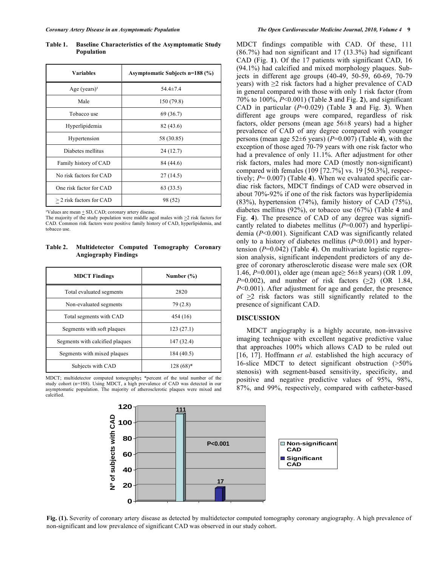**Table 1. Baseline Characteristics of the Asymptomatic Study Population**

| <b>Variables</b>           | Asymptomatic Subjects n=188 (%) |  |  |  |
|----------------------------|---------------------------------|--|--|--|
| Age $(years)^1$            | $54.4 \pm 7.4$                  |  |  |  |
| Male                       | 150 (79.8)                      |  |  |  |
| Tobacco use                | 69 (36.7)                       |  |  |  |
| Hyperlipidemia             | 82 (43.6)                       |  |  |  |
| Hypertension               | 58 (30.85)                      |  |  |  |
| Diabetes mellitus          | 24(12.7)                        |  |  |  |
| Family history of CAD      | 84 (44.6)                       |  |  |  |
| No risk factors for CAD    | 27(14.5)                        |  |  |  |
| One risk factor for CAD    | 63(33.5)                        |  |  |  |
| $>$ 2 risk factors for CAD | 98 (52)                         |  |  |  |

 $\sqrt[11]{\text{Values are mean} + \text{SD}, \text{CAD}; \text{coronary artery disease}}$ .

The majority of the study population were middle aged males with  $\geq$  2 risk factors for CAD. Common risk factors were positive family history of CAD, hyperlipidemia, and tobacco use.

**Table 2. Multidetector Computed Tomography Coronary Angiography Findings**

| <b>MDCT</b> Findings            | Number $(\% )$ |  |  |
|---------------------------------|----------------|--|--|
| Total evaluated segments        | 2820           |  |  |
| Non-evaluated segments          | 79(2.8)        |  |  |
| Total segments with CAD         | 454 (16)       |  |  |
| Segments with soft plaques      | 123(27.1)      |  |  |
| Segments with calcified plaques | 147 (32.4)     |  |  |
| Segments with mixed plaques     | 184 (40.5)     |  |  |
| Subjects with CAD               | $128(68)*$     |  |  |

MDCT; multidetector computed tomography**;** \*percent of the total number of the study cohort (n=188). Using MDCT, a high prevalence of CAD was detected in our asymptomatic population. The majority of atherosclerotic plaques were mixed and calcified.

MDCT findings compatible with CAD. Of these, 111 (86.7%) had non significant and 17 (13.3%) had significant CAD (Fig. **1**). Of the 17 patients with significant CAD, 16 (94.1%) had calcified and mixed morphology plaques. Subjects in different age groups (40-49, 50-59, 60-69, 70-79 years) with ≥2 risk factors had a higher prevalence of CAD in general compared with those with only 1 risk factor (from 70% to 100%, *P*<0.001) (Table **3** and Fig. **2**), and significant CAD in particular  $(P=0.029)$  (Table **3** and Fig. **3**). When different age groups were compared, regardless of risk factors, older persons (mean age 56±8 years) had a higher prevalence of CAD of any degree compared with younger persons (mean age  $52\pm6$  years) ( $P=0.007$ ) (Table 4), with the exception of those aged 70-79 years with one risk factor who had a prevalence of only 11.1%. After adjustment for other risk factors, males had more CAD (mostly non-significant) compared with females (109 [72.7%] vs. 19 [50.3%], respectively; *P*= 0.007) (Table **4**). When we evaluated specific cardiac risk factors, MDCT findings of CAD were observed in about 70%-92% if one of the risk factors was hyperlipidemia (83%), hypertension (74%), family history of CAD (75%), diabetes mellitus (92%), or tobacco use (67%) (Table **4** and Fig. **4**). The presence of CAD of any degree was significantly related to diabetes mellitus  $(P=0.007)$  and hyperlipidemia (*P*<0.001). Significant CAD was significantly related only to a history of diabetes mellitus (*P*<0.001) and hypertension (*P*=0.042) (Table **4**). On multivariate logistic regression analysis, significant independent predictors of any degree of coronary atherosclerotic disease were male sex (OR 1.46, *P*=0.001), older age (mean age≥ 56±8 years) (OR 1.09,  $P=0.002$ ), and number of risk factors  $(>2)$  (OR 1.84, *P*<0.001). After adjustment for age and gender, the presence of >2 risk factors was still significantly related to the presence of significant CAD.

## **DISCUSSION**

MDCT angiography is a highly accurate, non-invasive imaging technique with excellent negative predictive value that approaches 100% which allows CAD to be ruled out [16, 17]. Hoffmann *et al.* established the high accuracy of 16-slice MDCT to detect significant obstruction (>50% stenosis) with segment-based sensitivity, specificity, and positive and negative predictive values of 95%, 98%, 87%, and 99%, respectively, compared with catheter-based



**Fig. (1).** Severity of coronary artery disease as detected by multidetector computed tomography coronary angiography. A high prevalence of non-significant and low prevalence of significant CAD was observed in our study cohort.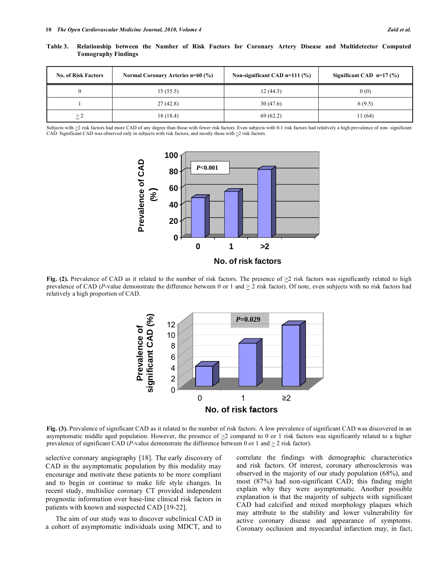| <b>No. of Risk Factors</b> | Normal Coronary Arteries n=60 (%) | Non-significant CAD $n=111$ (%) | Significant CAD $n=17$ (%) |
|----------------------------|-----------------------------------|---------------------------------|----------------------------|
|                            | 15(55.5)                          | 12(44.5)                        | 0(0)                       |
|                            | 27(42.8)                          | 30(47.6)                        | 6(9.5)                     |
| $\geq$ 2                   | 18 (18.4)                         | 69(62.2)                        | 11 (64)                    |

**Table 3. Relationship between the Number of Risk Factors for Coronary Artery Disease and Multidetector Computed Tomography Findings**

Subjects with  $\geq$ 2 risk factors had more CAD of any degree than those with fewer risk factors. Even subjects with 0-1 risk factors had relatively a high prevalence of non- significant CAD. Significant CAD was observed only in subjects with risk factors, and mostly those with  $\geq$  risk factors.



**Fig. (2).** Prevalence of CAD as it related to the number of risk factors. The presence of  $\geq 2$  risk factors was significantly related to high prevalence of CAD (*P*-value demonstrate the difference between 0 or 1 and  $\geq$  2 risk factor). Of note, even subjects with no risk factors had relatively a high proportion of CAD.



**Fig. (3).** Prevalence of significant CAD as it related to the number of risk factors. A low prevalence of significant CAD was discovered in an asymptomatic middle aged population. However, the presence of  $\geq$  2 compared to 0 or 1 risk factors was significantly related to a higher prevalence of significant CAD (*P*-value demonstrate the difference between 0 or 1 and  $\geq$  2 risk factor).

selective coronary angiography [18]. The early discovery of CAD in the asymptomatic population by this modality may encourage and motivate these patients to be more compliant and to begin or continue to make life style changes. In recent study, multislice coronary CT provided independent prognostic information over base-line clinical risk factors in patients with known and suspected CAD [19-22].

The aim of our study was to discover subclinical CAD in a cohort of asymptomatic individuals using MDCT, and to

correlate the findings with demographic characteristics and risk factors. Of interest, coronary atherosclerosis was observed in the majority of our study population (68%), and most (87%) had non-significant CAD; this finding might explain why they were asymptomatic. Another possible explanation is that the majority of subjects with significant CAD had calcified and mixed morphology plaques which may attribute to the stability and lower vulnerability for active coronary disease and appearance of symptoms. Coronary occlusion and myocardial infarction may, in fact,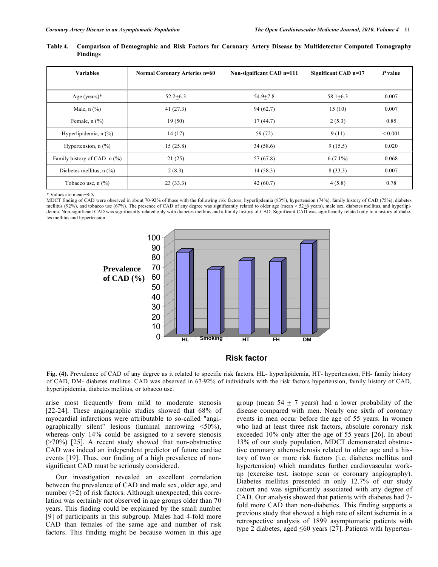| Table 4. | Findings     | Comparison of Demographic and Risk Factors for Coronary Artery Disease by Multidetector Computed Tomography |  |                                          |                                                                          |                      |
|----------|--------------|-------------------------------------------------------------------------------------------------------------|--|------------------------------------------|--------------------------------------------------------------------------|----------------------|
|          | $V$ aniaklaa | $Nqu$ $Cqu$ $\cdots$ $\lambda$ $\mu$ tories $\mu$ $\in$ $\Omega$                                            |  | $N_{\text{out}}$ significant $CAD$ n=111 | $C_{\text{coul}}(n_{\text{const}} \cap \Lambda \mathbf{D}_{\text{max}})$ | $D$ and $\mathbf{L}$ |

| <b>Variables</b>                     | <b>Normal Coronary Arteries n=60</b> | Non-significant CAD n=111 | Significant CAD n=17 | P value      |
|--------------------------------------|--------------------------------------|---------------------------|----------------------|--------------|
|                                      |                                      |                           |                      |              |
| Age (years) $*$                      | $52.2 + 6.3$                         | $54.9 + 7.8$              | $58.1 + 6.3$         | 0.007        |
| Male, $n$ $\left(\frac{9}{6}\right)$ | 41(27.3)                             | 94(62.7)                  | 15(10)               | 0.007        |
| Female, $n$ $(\frac{9}{6})$          | 19(50)                               | 17(44.7)                  | 2(5.3)               | 0.85         |
| Hyperlipidemia, $n$ $(\%)$           | 14(17)                               | 59 (72)                   | 9(11)                | ${}_{0.001}$ |
| Hypertension, $n$ $(\%)$             | 15(25.8)                             | 34(58.6)                  | 9(15.5)              | 0.020        |
| Family history of CAD $\pi$ (%)      | 21(25)                               | 57 (67.8)                 | $6(7.1\%)$           | 0.068        |
| Diabetes mellitus, $n$ (%)           | 2(8.3)                               | 14(58.3)                  | 8(33.3)              | 0.007        |
| Tobacco use, $n$ $(\%)$              | 23(33.3)                             | 42(60.7)                  | 4(5.8)               | 0.78         |

\* Values are mean+SD**.** 

MDCT finding of CAD were observed in about 70-92% of those with the following risk factors: hyperlipdemia (83%), hypertension (74%), family history of CAD (75%), diabetes mellitus (92%), and tobacco use (67%). The presence of CAD of any degree was significantly related to older age (mean  $> 52+6$  years), male sex, diabetes mellitus, and hyperlipidemia. Non-significant CAD was significantly related only with diabetes mellitus and a family history of CAD. Significant CAD was significantly related only to a history of diabetes mellitus and hypertension.



## **Risk factor**

**Fig. (4).** Prevalence of CAD of any degree as it related to specific risk factors. HL- hyperlipidemia, HT- hypertension, FH- family history of CAD, DM- diabetes mellitus. CAD was observed in 67-92% of individuals with the risk factors hypertension, family history of CAD, hyperlipidemia, diabetes mellitus, or tobacco use.

arise most frequently from mild to moderate stenosis [22-24]. These angiographic studies showed that 68% of myocardial infarctions were attributable to so-called "angiographically silent" lesions (luminal narrowing  $\langle 50\%$ ), whereas only 14% could be assigned to a severe stenosis  $(270\%)$  [25]. A recent study showed that non-obstructive CAD was indeed an independent predictor of future cardiac events [19]. Thus, our finding of a high prevalence of nonsignificant CAD must be seriously considered.

Our investigation revealed an excellent correlation between the prevalence of CAD and male sex, older age, and number  $(\geq 2)$  of risk factors. Although unexpected, this correlation was certainly not observed in age groups older than 70 years. This finding could be explained by the small number [9] of participants in this subgroup. Males had 4-fold more CAD than females of the same age and number of risk factors. This finding might be because women in this age

group (mean  $54 + 7$  years) had a lower probability of the disease compared with men. Nearly one sixth of coronary events in men occur before the age of 55 years. In women who had at least three risk factors, absolute coronary risk exceeded 10% only after the age of 55 years [26]. In about 13% of our study population, MDCT demonstrated obstructive coronary atherosclerosis related to older age and a history of two or more risk factors (i.e. diabetes mellitus and hypertension) which mandates further cardiovascular workup (exercise test, isotope scan or coronary angiography). Diabetes mellitus presented in only 12.7% of our study cohort and was significantly associated with any degree of CAD. Our analysis showed that patients with diabetes had 7 fold more CAD than non-diabetics. This finding supports a previous study that showed a high rate of silent ischemia in a retrospective analysis of 1899 asymptomatic patients with type 2 diabetes, aged  $\leq 60$  years [27]. Patients with hyperten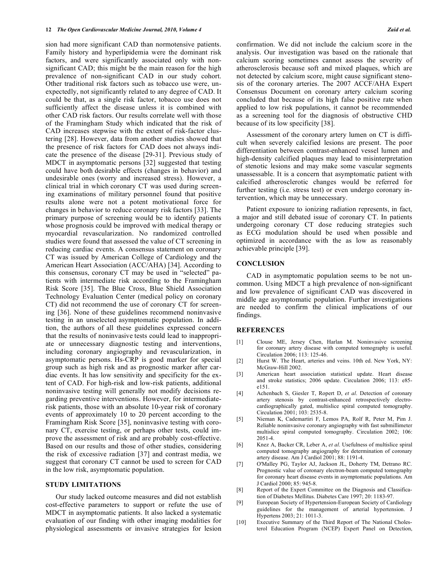sion had more significant CAD than normotensive patients. Family history and hyperlipidemia were the dominant risk factors, and were significantly associated only with nonsignificant CAD; this might be the main reason for the high prevalence of non-significant CAD in our study cohort. Other traditional risk factors such as tobacco use were, unexpectedly, not significantly related to any degree of CAD. It could be that, as a single risk factor, tobacco use does not sufficiently affect the disease unless it is combined with other CAD risk factors. Our results correlate well with those of the Framingham Study which indicated that the risk of CAD increases stepwise with the extent of risk-factor clustering [28]. However, data from another studies showed that the presence of risk factors for CAD does not always indicate the presence of the disease [29-31]. Previous study of MDCT in asymptomatic persons [32] suggested that testing could have both desirable effects (changes in behavior) and undesirable ones (worry and increased stress). However, a clinical trial in which coronary CT was used during screening examinations of military personnel found that positive results alone were not a potent motivational force for changes in behavior to reduce coronary risk factors [33]. The primary purpose of screening would be to identify patients whose prognosis could be improved with medical therapy or myocardial revascularization. No randomized controlled studies were found that assessed the value of CT screening in reducing cardiac events. A consensus statement on coronary CT was issued by American College of Cardiology and the American Heart Association (ACC/AHA) [34]. According to this consensus, coronary CT may be used in "selected" patients with intermediate risk according to the Framingham Risk Score [35]. The Blue Cross, Blue Shield Association Technology Evaluation Center (medical policy on coronary CT) did not recommend the use of coronary CT for screening [36]. None of these guidelines recommend noninvasive testing in an unselected asymptomatic population. In addition, the authors of all these guidelines expressed concern that the results of noninvasive tests could lead to inappropriate or unnecessary diagnostic testing and interventions, including coronary angiography and revascularization, in asymptomatic persons. Hs-CRP is good marker for special group such as high risk and as prognostic marker after cardiac events. It has low sensitivity and specificity for the extent of CAD. For high-risk and low-risk patients, additional noninvasive testing will generally not modify decisions regarding preventive interventions. However, for intermediaterisk patients, those with an absolute 10-year risk of coronary events of approximately 10 to 20 percent according to the Framingham Risk Score [35], noninvasive testing with coronary CT, exercise testing, or perhaps other tests, could improve the assessment of risk and are probably cost-effective. Based on our results and those of other studies, considering the risk of excessive radiation [37] and contrast media, we suggest that coronary CT cannot be used to screen for CAD in the low risk, asymptomatic population.

## **STUDY LIMITATIONS**

Our study lacked outcome measures and did not establish cost-effective parameters to support or refute the use of MDCT in asymptomatic patients. It also lacked a systematic evaluation of our finding with other imaging modalities for physiological assessments or invasive strategies for lesion

confirmation. We did not include the calcium score in the analysis. Our investigation was based on the rationale that calcium scoring sometimes cannot assess the severity of atherosclerosis because soft and mixed plaques, which are not detected by calcium score, might cause significant stenosis of the coronary arteries. The 2007 ACCF/AHA Expert Consensus Document on coronary artery calcium scoring concluded that because of its high false positive rate when applied to low risk populations, it cannot be recommended as a screening tool for the diagnosis of obstructive CHD because of its low specificity [38].

Assessment of the coronary artery lumen on CT is difficult when severely calcified lesions are present. The poor differentiation between contrast-enhanced vessel lumen and high-density calcified plaques may lead to misinterpretation of stenotic lesions and may make some vascular segments unassessable. It is a concern that asymptomatic patient with calcified atherosclerotic changes would be referred for further testing (i.e. stress test) or even undergo coronary intervention, which may be unnecessary.

Patient exposure to ionizing radiation represents, in fact, a major and still debated issue of coronary CT. In patients undergoing coronary CT dose reducing strategies such as ECG modulation should be used when possible and optimized in accordance with the as low as reasonably achievable principle [39].

## **CONCLUSION**

CAD in asymptomatic population seems to be not uncommon. Using MDCT a high prevalence of non-significant and low prevalence of significant CAD was discovered in middle age asymptomatic population. Further investigations are needed to confirm the clinical implications of our findings.

## **REFERENCES**

- [1] Clouse ME, Jersey Chen, Harlan M. Noninvasive screening for coronary artery disease with computed tomography is useful. Circulation 2006; 113: 125-46.
- [2] Hurst W. The Heart, arteries and veins. 10th ed. New York, NY: McGraw-Hill 2002.
- [3] American heart association statistical update. Heart disease and stroke statistics; 2006 update. Circulation 2006; 113: e85 e151.
- [4] Achenbach S, Giesler T, Ropert D, *et al*. Detection of coronary artery stenosis by contrast-enhanced retrospectively electrocardiographically gated, multislice spiral computed tomography. Circulation 2001; 103: 2535-8.
- [5] Nieman K, Cademartiri F, Lemos PA, Rolf R, Peter M, Pim J. Reliable noninvasive coronary angiography with fast submillimeter multislice spiral computed tomography. Circulation 2002; 106: 2051-4.
- [6] Knez A, Backer CR, Leber A, *et al*. Usefulness of multislice spiral computed tomography angiography for determination of coronary artery disease. Am J Cardiol 2001; 88: 1191-4.
- [7] O'Malley PG, Taylor AJ, Jackson JL, Doherty TM, Detrano RC. Prognostic value of coronary electron-beam computed tomography for coronary heart disease events in asymptomatic populations. Am J Cardiol 2000; 85: 945-8.
- [8] Report of the Expert Committee on the Diagnosis and Classification of Diabetes Mellitus. Diabetes Care 1997; 20: 1183-97.
- [9] European Society of Hypertension-European Society of Cardiology guidelines for the management of arterial hypertension. J Hypertens 2003; 21: 1011-3.
- [10] Executive Summary of the Third Report of The National Cholesterol Education Program (NCEP) Expert Panel on Detection,